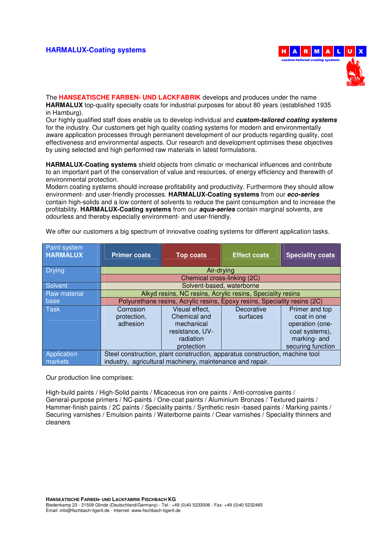## **HARMALUX-Coating systems HARMALUX-Coating systems HARMALUX-Coating systems**



The **HANSEATISCHE FARBEN- UND LACKFABRIK** develops and produces under the name **HARMALUX** top-quality specialty coats for industrial purposes for about 80 years (established 1935 in Hamburg).

Our highly qualified staff does enable us to develop individual and **custom-tailored coating systems**  for the industry. Our customers get high quality coating systems for modern and environmentally aware application processes through permanent development of our products regarding quality, cost effectiveness and environmental aspects. Our research and development optimises these objectives by using selected and high performed raw materials in latest formulations.

**HARMALUX-Coating systems** shield objects from climatic or mechanical influences and contribute to an important part of the conservation of value and resources, of energy efficiency and therewith of environmental protection.

Modern coating systems should increase profitability and productivity. Furthermore they should allow environment- and user-friendly processes. **HARMALUX-Coating systems** from our **eco-series** contain high-solids and a low content of solvents to reduce the paint consumption and to increase the profitability. **HARMALUX-Coating systems** from our **aqua-series** contain marginal solvents, are odourless and thereby especially environment- and user-friendly.

| Paint system<br><b>HARMALUX</b> | <b>Primer coats</b>                                                                                                                       | <b>Top coats</b>                                                                           | <b>Effect coats</b>    | <b>Speciality coats</b>                                                                                 |
|---------------------------------|-------------------------------------------------------------------------------------------------------------------------------------------|--------------------------------------------------------------------------------------------|------------------------|---------------------------------------------------------------------------------------------------------|
| <b>Drying</b>                   | Air-drying                                                                                                                                |                                                                                            |                        |                                                                                                         |
|                                 | Chemical cross-linking (2C)                                                                                                               |                                                                                            |                        |                                                                                                         |
| <b>Solvent</b>                  | Solvent-based, waterborne                                                                                                                 |                                                                                            |                        |                                                                                                         |
| <b>Raw material</b>             | Alkyd resins, NC resins, Acrylic resins, Speciality resins                                                                                |                                                                                            |                        |                                                                                                         |
| base                            | Polyurethane resins, Acrylic resins, Epoxy resins, Speciality resins (2C)                                                                 |                                                                                            |                        |                                                                                                         |
| <b>Task</b>                     | Corrosion<br>protection,<br>adhesion                                                                                                      | Visual effect,<br>Chemical and<br>mechanical<br>resistance, UV-<br>radiation<br>protection | Decorative<br>surfaces | Primer and top<br>coat in one<br>operation (one-<br>coat systems),<br>marking- and<br>securing function |
| Application<br>markets          | Steel construction, plant construction, apparatus construction, machine tool<br>industry, agricultural machinery, maintenance and repair. |                                                                                            |                        |                                                                                                         |

We offer our customers a big spectrum of innovative coating systems for different application tasks.

Our production line comprises:

High-build paints / High-Solid paints / Micaceous iron ore paints / Anti-corrosive paints / General-purpose primers / NC-paints / One-coat paints / Aluminium Bronzes / Textured paints / Hammer-finish paints / 2C paints / Speciality paints / Synthetic resin -based paints / Marking paints / Securing varnishes / Emulsion paints / Waterborne paints / Clear varnishes / Speciality thinners and cleaners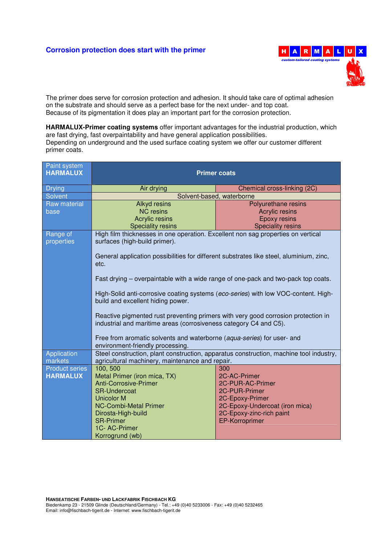## **Corrosion protection does start with the primer H A R M A L U**



The primer does serve for corrosion protection and adhesion. It should take care of optimal adhesion on the substrate and should serve as a perfect base for the next under- and top coat. Because of its pigmentation it does play an important part for the corrosion protection.

**HARMALUX-Primer coating systems** offer important advantages for the industrial production, which are fast drying, fast overpaintability and have general application possibilities. Depending on underground and the used surface coating system we offer our customer different primer coats.

| Paint system<br><b>HARMALUX</b> | <b>Primer coats</b>                                                                                                                                    |                                                   |  |
|---------------------------------|--------------------------------------------------------------------------------------------------------------------------------------------------------|---------------------------------------------------|--|
| <b>Drying</b>                   | Air drying                                                                                                                                             | Chemical cross-linking (2C)                       |  |
| Solvent                         | Solvent-based, waterborne                                                                                                                              |                                                   |  |
| Raw material                    | <b>Alkyd</b> resins                                                                                                                                    | Polyurethane resins                               |  |
| base                            | <b>NC</b> resins                                                                                                                                       | <b>Acrylic resins</b>                             |  |
|                                 | <b>Acrylic resins</b>                                                                                                                                  | <b>Epoxy resins</b>                               |  |
|                                 | <b>Speciality resins</b>                                                                                                                               | <b>Speciality resins</b>                          |  |
| Range of<br>properties          | High film thicknesses in one operation. Excellent non sag properties on vertical<br>surfaces (high-build primer).                                      |                                                   |  |
|                                 | General application possibilities for different substrates like steel, aluminium, zinc,<br>etc.                                                        |                                                   |  |
|                                 | Fast drying – overpaintable with a wide range of one-pack and two-pack top coats.                                                                      |                                                   |  |
|                                 | High-Solid anti-corrosive coating systems (eco-series) with low VOC-content. High-<br>build and excellent hiding power.                                |                                                   |  |
|                                 | Reactive pigmented rust preventing primers with very good corrosion protection in<br>industrial and maritime areas (corrosiveness category C4 and C5). |                                                   |  |
|                                 | Free from aromatic solvents and waterborne (aqua-series) for user- and<br>environment-friendly processing.                                             |                                                   |  |
| Application<br>markets          | Steel construction, plant construction, apparatus construction, machine tool industry,<br>agricultural machinery, maintenance and repair.              |                                                   |  |
| Product series                  | 100, 500                                                                                                                                               | 300                                               |  |
| <b>HARMALUX</b>                 | Metal Primer (iron mica, TX)                                                                                                                           | 2C-AC-Primer                                      |  |
|                                 | <b>Anti-Corrosive-Primer</b>                                                                                                                           | 2C-PUR-AC-Primer                                  |  |
|                                 | <b>SR-Undercoat</b>                                                                                                                                    | 2C-PUR-Primer                                     |  |
|                                 | <b>Unicolor M</b>                                                                                                                                      | 2C-Epoxy-Primer                                   |  |
|                                 | <b>NC-Combi-Metal Primer</b>                                                                                                                           | 2C-Epoxy-Undercoat (iron mica)                    |  |
|                                 | Dirosta-High-build<br><b>SR-Primer</b>                                                                                                                 | 2C-Epoxy-zinc-rich paint<br><b>EP-Korroprimer</b> |  |
|                                 | 1C-AC-Primer                                                                                                                                           |                                                   |  |
|                                 | Korrogrund (wb)                                                                                                                                        |                                                   |  |
|                                 |                                                                                                                                                        |                                                   |  |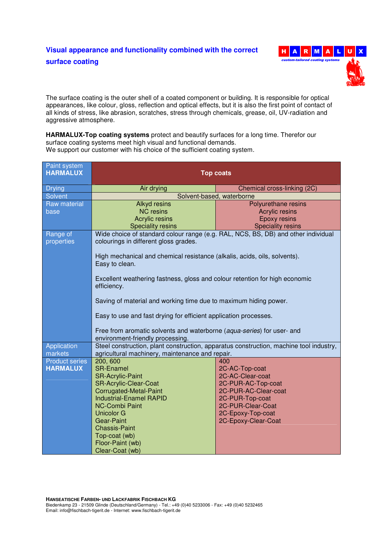

The surface coating is the outer shell of a coated component or building. It is responsible for optical appearances, like colour, gloss, reflection and optical effects, but it is also the first point of contact of all kinds of stress, like abrasion, scratches, stress through chemicals, grease, oil, UV-radiation and aggressive atmosphere.

**HARMALUX-Top coating systems** protect and beautify surfaces for a long time. Therefor our surface coating systems meet high visual and functional demands. We support our customer with his choice of the sufficient coating system.

| Paint system<br><b>HARMALUX</b> | <b>Top coats</b>                                                                                                           |                                      |  |
|---------------------------------|----------------------------------------------------------------------------------------------------------------------------|--------------------------------------|--|
| <b>Drying</b>                   | Air drying                                                                                                                 | Chemical cross-linking (2C)          |  |
| Solvent                         | Solvent-based, waterborne                                                                                                  |                                      |  |
| <b>Raw material</b>             | <b>Alkyd resins</b>                                                                                                        | Polyurethane resins                  |  |
| base                            | <b>NC</b> resins                                                                                                           | <b>Acrylic resins</b>                |  |
|                                 | <b>Acrylic resins</b>                                                                                                      | <b>Epoxy resins</b>                  |  |
|                                 | <b>Speciality resins</b>                                                                                                   | <b>Speciality resins</b>             |  |
| Range of<br>properties          | Wide choice of standard colour range (e.g. RAL, NCS, BS, DB) and other individual<br>colourings in different gloss grades. |                                      |  |
|                                 | High mechanical and chemical resistance (alkalis, acids, oils, solvents).<br>Easy to clean.                                |                                      |  |
|                                 | Excellent weathering fastness, gloss and colour retention for high economic<br>efficiency.                                 |                                      |  |
|                                 | Saving of material and working time due to maximum hiding power.                                                           |                                      |  |
|                                 | Easy to use and fast drying for efficient application processes.                                                           |                                      |  |
|                                 | Free from aromatic solvents and waterborne (aqua-series) for user- and<br>environment-friendly processing.                 |                                      |  |
| Application                     | Steel construction, plant construction, apparatus construction, machine tool industry,                                     |                                      |  |
| markets                         | agricultural machinery, maintenance and repair.                                                                            |                                      |  |
| <b>Product series</b>           | 200, 600                                                                                                                   | 400                                  |  |
| <b>HARMALUX</b>                 | <b>SR-Enamel</b>                                                                                                           | 2C-AC-Top-coat                       |  |
|                                 | <b>SR-Acrylic-Paint</b>                                                                                                    | 2C-AC-Clear-coat                     |  |
|                                 | <b>SR-Acrylic-Clear-Coat</b>                                                                                               | 2C-PUR-AC-Top-coat                   |  |
|                                 | Corrugated-Metal-Paint                                                                                                     | 2C-PUR-AC-Clear-coat                 |  |
|                                 | <b>Industrial-Enamel RAPID</b><br><b>NC-Combi Paint</b>                                                                    | 2C-PUR-Top-coat<br>2C-PUR-Clear-Coat |  |
|                                 | <b>Unicolor G</b>                                                                                                          | 2C-Epoxy-Top-coat                    |  |
|                                 | <b>Gear-Paint</b>                                                                                                          | 2C-Epoxy-Clear-Coat                  |  |
|                                 | <b>Chassis-Paint</b>                                                                                                       |                                      |  |
|                                 | Top-coat (wb)                                                                                                              |                                      |  |
|                                 | Floor-Paint (wb)                                                                                                           |                                      |  |
|                                 | Clear-Coat (wb)                                                                                                            |                                      |  |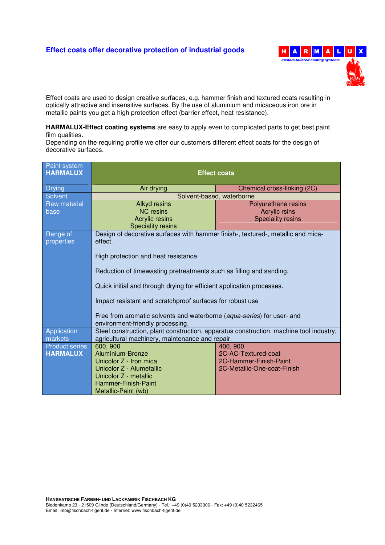## **Effect coats offer decorative protection of industrial goods** H A R M A L U



Effect coats are used to design creative surfaces, e.g. hammer finish and textured coats resulting in optically attractive and insensitive surfaces. By the use of aluminium and micaceous iron ore in metallic paints you get a high protection effect (barrier effect, heat resistance).

**HARMALUX-Effect coating systems** are easy to apply even to complicated parts to get best paint film qualities.

Depending on the requiring profile we offer our customers different effect coats for the design of decorative surfaces.

| Paint system<br><b>HARMALUX</b> | <b>Effect coats</b>                                                                                        |                             |  |
|---------------------------------|------------------------------------------------------------------------------------------------------------|-----------------------------|--|
| <b>Drying</b>                   | Air drying                                                                                                 | Chemical cross-linking (2C) |  |
| <b>Solvent</b>                  | Solvent-based, waterborne                                                                                  |                             |  |
| Raw material                    | <b>Alkyd resins</b>                                                                                        | Polyurethane resins         |  |
| base                            | <b>NC</b> resins                                                                                           | <b>Acrylic rsins</b>        |  |
|                                 | Acrylic resins                                                                                             | <b>Speciality resins</b>    |  |
|                                 | <b>Speciality resins</b>                                                                                   |                             |  |
| Range of<br>properties          | Design of decorative surfaces with hammer finish-, textured-, metallic and mica-<br>effect.                |                             |  |
|                                 | High protection and heat resistance.                                                                       |                             |  |
|                                 | Reduction of timewasting pretreatments such as filling and sanding.                                        |                             |  |
|                                 | Quick initial and through drying for efficient application processes.                                      |                             |  |
|                                 | Impact resistant and scratchproof surfaces for robust use                                                  |                             |  |
|                                 | Free from aromatic solvents and waterborne (aqua-series) for user- and<br>environment-friendly processing. |                             |  |
| Application                     | Steel construction, plant construction, apparatus construction, machine tool industry,                     |                             |  |
| markets                         | agricultural machinery, maintenance and repair.                                                            |                             |  |
| <b>Product series</b>           | 600, 900                                                                                                   | 400, 900                    |  |
| <b>HARMALUX</b>                 | Aluminium-Bronze                                                                                           | 2C-AC-Textured-coat         |  |
|                                 | Unicolor Z - Iron mica                                                                                     | 2C-Hammer-Finish-Paint      |  |
|                                 | Unicolor Z - Alumetallic                                                                                   | 2C-Metallic-One-coat-Finish |  |
|                                 | Unicolor Z - metallic                                                                                      |                             |  |
|                                 | Hammer-Finish-Paint                                                                                        |                             |  |
|                                 | Metallic-Paint (wb)                                                                                        |                             |  |